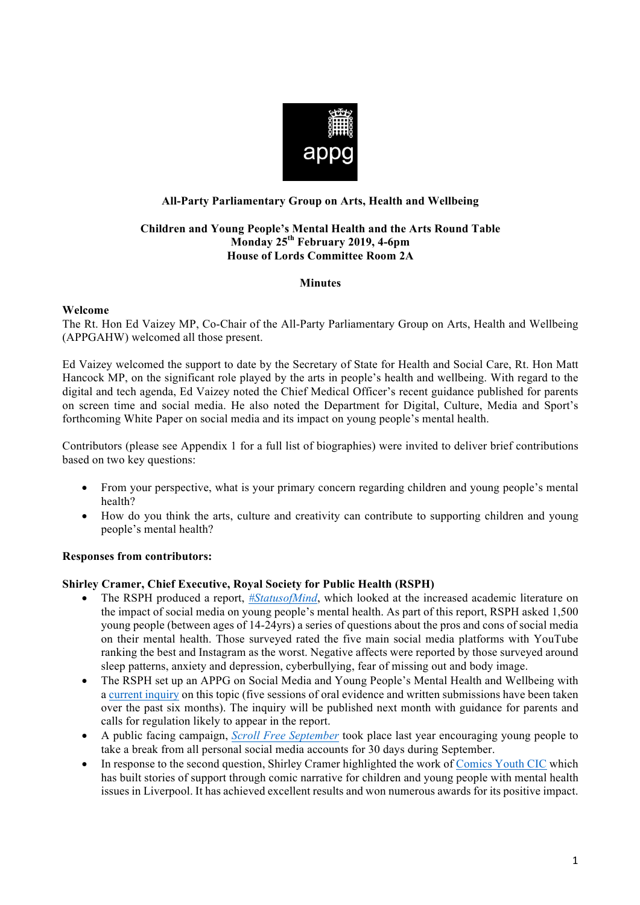

# **All-Party Parliamentary Group on Arts, Health and Wellbeing**

### **Children and Young People's Mental Health and the Arts Round Table Monday 25th February 2019, 4-6pm House of Lords Committee Room 2A**

## **Minutes**

### **Welcome**

The Rt. Hon Ed Vaizey MP, Co-Chair of the All-Party Parliamentary Group on Arts, Health and Wellbeing (APPGAHW) welcomed all those present.

Ed Vaizey welcomed the support to date by the Secretary of State for Health and Social Care, Rt. Hon Matt Hancock MP, on the significant role played by the arts in people's health and wellbeing. With regard to the digital and tech agenda, Ed Vaizey noted the Chief Medical Officer's recent guidance published for parents on screen time and social media. He also noted the Department for Digital, Culture, Media and Sport's forthcoming White Paper on social media and its impact on young people's mental health.

Contributors (please see Appendix 1 for a full list of biographies) were invited to deliver brief contributions based on two key questions:

- From your perspective, what is your primary concern regarding children and young people's mental health?
- How do you think the arts, culture and creativity can contribute to supporting children and young people's mental health?

# **Responses from contributors:**

# **Shirley Cramer, Chief Executive, Royal Society for Public Health (RSPH)**

- The RSPH produced a report, *#StatusofMind*, which looked at the increased academic literature on the impact of social media on young people's mental health. As part of this report, RSPH asked 1,500 young people (between ages of 14-24yrs) a series of questions about the pros and cons of social media on their mental health. Those surveyed rated the five main social media platforms with YouTube ranking the best and Instagram as the worst. Negative affects were reported by those surveyed around sleep patterns, anxiety and depression, cyberbullying, fear of missing out and body image.
- The RSPH set up an APPG on Social Media and Young People's Mental Health and Wellbeing with a current inquiry on this topic (five sessions of oral evidence and written submissions have been taken over the past six months). The inquiry will be published next month with guidance for parents and calls for regulation likely to appear in the report.
- A public facing campaign, *Scroll Free September* took place last year encouraging young people to take a break from all personal social media accounts for 30 days during September.
- In response to the second question, Shirley Cramer highlighted the work of Comics Youth CIC which has built stories of support through comic narrative for children and young people with mental health issues in Liverpool. It has achieved excellent results and won numerous awards for its positive impact.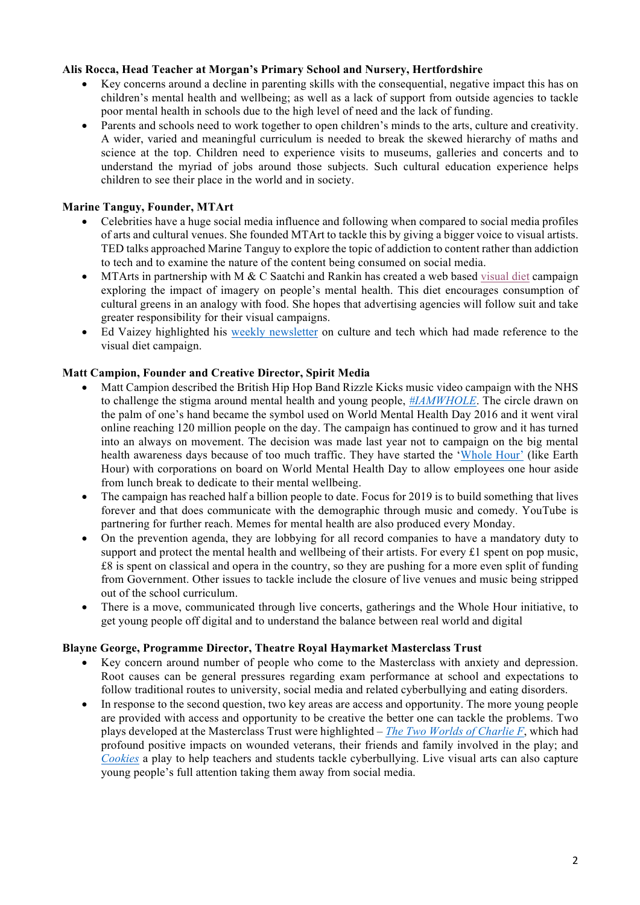## **Alis Rocca, Head Teacher at Morgan's Primary School and Nursery, Hertfordshire**

- Key concerns around a decline in parenting skills with the consequential, negative impact this has on children's mental health and wellbeing; as well as a lack of support from outside agencies to tackle poor mental health in schools due to the high level of need and the lack of funding.
- Parents and schools need to work together to open children's minds to the arts, culture and creativity. A wider, varied and meaningful curriculum is needed to break the skewed hierarchy of maths and science at the top. Children need to experience visits to museums, galleries and concerts and to understand the myriad of jobs around those subjects. Such cultural education experience helps children to see their place in the world and in society.

# **Marine Tanguy, Founder, MTArt**

- Celebrities have a huge social media influence and following when compared to social media profiles of arts and cultural venues. She founded MTArt to tackle this by giving a bigger voice to visual artists. TED talks approached Marine Tanguy to explore the topic of addiction to content rather than addiction to tech and to examine the nature of the content being consumed on social media.
- MTArts in partnership with M & C Saatchi and Rankin has created a web based visual diet campaign exploring the impact of imagery on people's mental health. This diet encourages consumption of cultural greens in an analogy with food. She hopes that advertising agencies will follow suit and take greater responsibility for their visual campaigns.
- Ed Vaizey highlighted his weekly newsletter on culture and tech which had made reference to the visual diet campaign.

## **Matt Campion, Founder and Creative Director, Spirit Media**

- Matt Campion described the British Hip Hop Band Rizzle Kicks music video campaign with the NHS to challenge the stigma around mental health and young people, *#IAMWHOLE*. The circle drawn on the palm of one's hand became the symbol used on World Mental Health Day 2016 and it went viral online reaching 120 million people on the day. The campaign has continued to grow and it has turned into an always on movement. The decision was made last year not to campaign on the big mental health awareness days because of too much traffic. They have started the 'Whole Hour' (like Earth Hour) with corporations on board on World Mental Health Day to allow employees one hour aside from lunch break to dedicate to their mental wellbeing.
- The campaign has reached half a billion people to date. Focus for 2019 is to build something that lives forever and that does communicate with the demographic through music and comedy. YouTube is partnering for further reach. Memes for mental health are also produced every Monday.
- On the prevention agenda, they are lobbying for all record companies to have a mandatory duty to support and protect the mental health and wellbeing of their artists. For every £1 spent on pop music, £8 is spent on classical and opera in the country, so they are pushing for a more even split of funding from Government. Other issues to tackle include the closure of live venues and music being stripped out of the school curriculum.
- There is a move, communicated through live concerts, gatherings and the Whole Hour initiative, to get young people off digital and to understand the balance between real world and digital

### **Blayne George, Programme Director, Theatre Royal Haymarket Masterclass Trust**

- Key concern around number of people who come to the Masterclass with anxiety and depression. Root causes can be general pressures regarding exam performance at school and expectations to follow traditional routes to university, social media and related cyberbullying and eating disorders.
- In response to the second question, two key areas are access and opportunity. The more young people are provided with access and opportunity to be creative the better one can tackle the problems. Two plays developed at the Masterclass Trust were highlighted – *The Two Worlds of Charlie F*, which had profound positive impacts on wounded veterans, their friends and family involved in the play; and *Cookies* a play to help teachers and students tackle cyberbullying. Live visual arts can also capture young people's full attention taking them away from social media.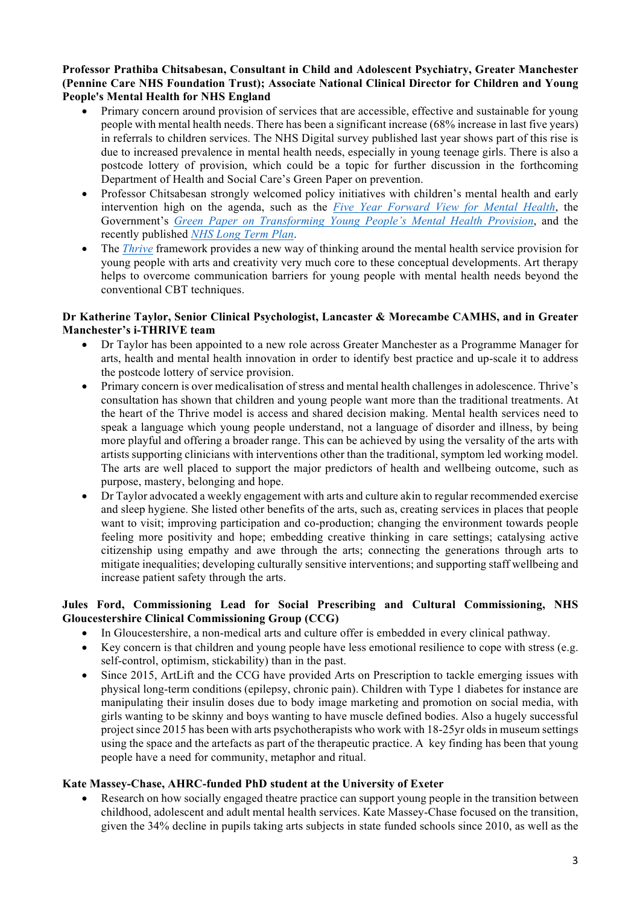**Professor Prathiba Chitsabesan, Consultant in Child and Adolescent Psychiatry, Greater Manchester (Pennine Care NHS Foundation Trust); Associate National Clinical Director for Children and Young People's Mental Health for NHS England**

- Primary concern around provision of services that are accessible, effective and sustainable for young people with mental health needs. There has been a significant increase (68% increase in last five years) in referrals to children services. The NHS Digital survey published last year shows part of this rise is due to increased prevalence in mental health needs, especially in young teenage girls. There is also a postcode lottery of provision, which could be a topic for further discussion in the forthcoming Department of Health and Social Care's Green Paper on prevention.
- Professor Chitsabesan strongly welcomed policy initiatives with children's mental health and early intervention high on the agenda, such as the *Five Year Forward View for Mental Health*, the Government's *Green Paper on Transforming Young People's Mental Health Provision*, and the recently published *NHS Long Term Plan*.
- The *Thrive* framework provides a new way of thinking around the mental health service provision for young people with arts and creativity very much core to these conceptual developments. Art therapy helps to overcome communication barriers for young people with mental health needs beyond the conventional CBT techniques.

### **Dr Katherine Taylor, Senior Clinical Psychologist, Lancaster & Morecambe CAMHS, and in Greater Manchester's i-THRIVE team**

- Dr Taylor has been appointed to a new role across Greater Manchester as a Programme Manager for arts, health and mental health innovation in order to identify best practice and up-scale it to address the postcode lottery of service provision.
- Primary concern is over medicalisation of stress and mental health challenges in adolescence. Thrive's consultation has shown that children and young people want more than the traditional treatments. At the heart of the Thrive model is access and shared decision making. Mental health services need to speak a language which young people understand, not a language of disorder and illness, by being more playful and offering a broader range. This can be achieved by using the versality of the arts with artists supporting clinicians with interventions other than the traditional, symptom led working model. The arts are well placed to support the major predictors of health and wellbeing outcome, such as purpose, mastery, belonging and hope.
- Dr Taylor advocated a weekly engagement with arts and culture akin to regular recommended exercise and sleep hygiene. She listed other benefits of the arts, such as, creating services in places that people want to visit; improving participation and co-production; changing the environment towards people feeling more positivity and hope; embedding creative thinking in care settings; catalysing active citizenship using empathy and awe through the arts; connecting the generations through arts to mitigate inequalities; developing culturally sensitive interventions; and supporting staff wellbeing and increase patient safety through the arts.

## **Jules Ford, Commissioning Lead for Social Prescribing and Cultural Commissioning, NHS Gloucestershire Clinical Commissioning Group (CCG)**

- In Gloucestershire, a non-medical arts and culture offer is embedded in every clinical pathway.
- Key concern is that children and young people have less emotional resilience to cope with stress (e.g. self-control, optimism, stickability) than in the past.
- Since 2015, ArtLift and the CCG have provided Arts on Prescription to tackle emerging issues with physical long-term conditions (epilepsy, chronic pain). Children with Type 1 diabetes for instance are manipulating their insulin doses due to body image marketing and promotion on social media, with girls wanting to be skinny and boys wanting to have muscle defined bodies. Also a hugely successful project since 2015 has been with arts psychotherapists who work with 18-25yr olds in museum settings using the space and the artefacts as part of the therapeutic practice. A key finding has been that young people have a need for community, metaphor and ritual.

# **Kate Massey-Chase, AHRC-funded PhD student at the University of Exeter**

Research on how socially engaged theatre practice can support young people in the transition between childhood, adolescent and adult mental health services. Kate Massey-Chase focused on the transition, given the 34% decline in pupils taking arts subjects in state funded schools since 2010, as well as the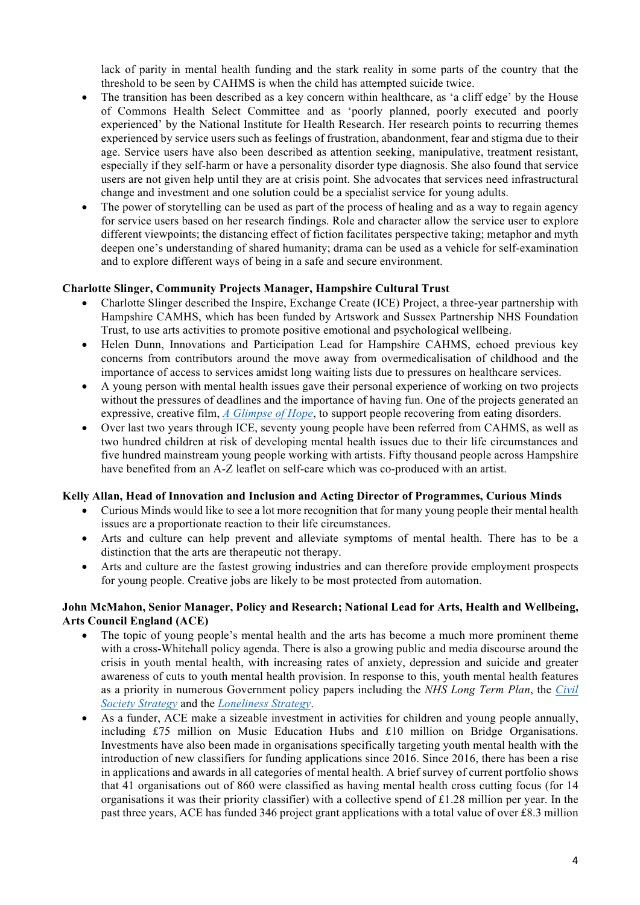lack of parity in mental health funding and the stark reality in some parts of the country that the threshold to be seen by CAHMS is when the child has attempted suicide twice.

- The transition has been described as a key concern within healthcare, as 'a cliff edge' by the House of Commons Health Select Committee and as 'poorly planned, poorly executed and poorly experienced' by the National Institute for Health Research. Her research points to recurring themes experienced by service users such as feelings of frustration, abandonment, fear and stigma due to their age. Service users have also been described as attention seeking, manipulative, treatment resistant, especially if they self-harm or have a personality disorder type diagnosis. She also found that service users are not given help until they are at crisis point. She advocates that services need infrastructural change and investment and one solution could be a specialist service for young adults.
- The power of storytelling can be used as part of the process of healing and as a way to regain agency for service users based on her research findings. Role and character allow the service user to explore different viewpoints; the distancing effect of fiction facilitates perspective taking; metaphor and myth deepen one's understanding of shared humanity; drama can be used as a vehicle for self-examination and to explore different ways of being in a safe and secure environment.

### **Charlotte Slinger, Community Projects Manager, Hampshire Cultural Trust**

- Charlotte Slinger described the Inspire, Exchange Create (ICE) Project, a three-year partnership with Hampshire CAMHS, which has been funded by Artswork and Sussex Partnership NHS Foundation Trust, to use arts activities to promote positive emotional and psychological wellbeing.
- Helen Dunn, Innovations and Participation Lead for Hampshire CAHMS, echoed previous key concerns from contributors around the move away from overmedicalisation of childhood and the importance of access to services amidst long waiting lists due to pressures on healthcare services.
- A young person with mental health issues gave their personal experience of working on two projects without the pressures of deadlines and the importance of having fun. One of the projects generated an expressive, creative film, *A Glimpse of Hope*, to support people recovering from eating disorders.
- Over last two years through ICE, seventy young people have been referred from CAHMS, as well as two hundred children at risk of developing mental health issues due to their life circumstances and five hundred mainstream young people working with artists. Fifty thousand people across Hampshire have benefited from an A-Z leaflet on self-care which was co-produced with an artist.

### **Kelly Allan, Head of Innovation and Inclusion and Acting Director of Programmes, Curious Minds**

- Curious Minds would like to see a lot more recognition that for many young people their mental health issues are a proportionate reaction to their life circumstances.
- Arts and culture can help prevent and alleviate symptoms of mental health. There has to be a distinction that the arts are therapeutic not therapy.
- Arts and culture are the fastest growing industries and can therefore provide employment prospects for young people. Creative jobs are likely to be most protected from automation.

## **John McMahon, Senior Manager, Policy and Research; National Lead for Arts, Health and Wellbeing, Arts Council England (ACE)**

- The topic of young people's mental health and the arts has become a much more prominent theme with a cross-Whitehall policy agenda. There is also a growing public and media discourse around the crisis in youth mental health, with increasing rates of anxiety, depression and suicide and greater awareness of cuts to youth mental health provision. In response to this, youth mental health features as a priority in numerous Government policy papers including the *NHS Long Term Plan*, the *Civil Society Strategy* and the *Loneliness Strategy*.
- As a funder, ACE make a sizeable investment in activities for children and young people annually, including £75 million on Music Education Hubs and £10 million on Bridge Organisations. Investments have also been made in organisations specifically targeting youth mental health with the introduction of new classifiers for funding applications since 2016. Since 2016, there has been a rise in applications and awards in all categories of mental health. A brief survey of current portfolio shows that 41 organisations out of 860 were classified as having mental health cross cutting focus (for 14 organisations it was their priority classifier) with a collective spend of £1.28 million per year. In the past three years, ACE has funded 346 project grant applications with a total value of over £8.3 million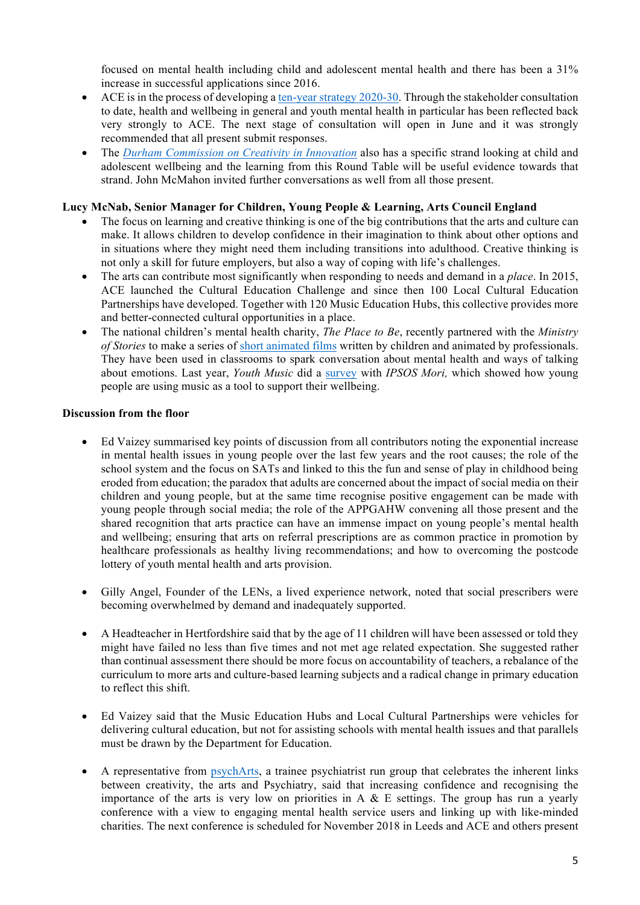focused on mental health including child and adolescent mental health and there has been a 31% increase in successful applications since 2016.

- ACE is in the process of developing a ten-year strategy 2020-30. Through the stakeholder consultation to date, health and wellbeing in general and youth mental health in particular has been reflected back very strongly to ACE. The next stage of consultation will open in June and it was strongly recommended that all present submit responses.
- The *Durham Commission on Creativity in Innovation* also has a specific strand looking at child and adolescent wellbeing and the learning from this Round Table will be useful evidence towards that strand. John McMahon invited further conversations as well from all those present.

### **Lucy McNab, Senior Manager for Children, Young People & Learning, Arts Council England**

- The focus on learning and creative thinking is one of the big contributions that the arts and culture can make. It allows children to develop confidence in their imagination to think about other options and in situations where they might need them including transitions into adulthood. Creative thinking is not only a skill for future employers, but also a way of coping with life's challenges.
- The arts can contribute most significantly when responding to needs and demand in a *place*. In 2015, ACE launched the Cultural Education Challenge and since then 100 Local Cultural Education Partnerships have developed. Together with 120 Music Education Hubs, this collective provides more and better-connected cultural opportunities in a place.
- The national children's mental health charity, *The Place to Be*, recently partnered with the *Ministry of Stories* to make a series of short animated films written by children and animated by professionals. They have been used in classrooms to spark conversation about mental health and ways of talking about emotions. Last year, *Youth Music* did a survey with *IPSOS Mori,* which showed how young people are using music as a tool to support their wellbeing.

## **Discussion from the floor**

- Ed Vaizey summarised key points of discussion from all contributors noting the exponential increase in mental health issues in young people over the last few years and the root causes; the role of the school system and the focus on SATs and linked to this the fun and sense of play in childhood being eroded from education; the paradox that adults are concerned about the impact of social media on their children and young people, but at the same time recognise positive engagement can be made with young people through social media; the role of the APPGAHW convening all those present and the shared recognition that arts practice can have an immense impact on young people's mental health and wellbeing; ensuring that arts on referral prescriptions are as common practice in promotion by healthcare professionals as healthy living recommendations; and how to overcoming the postcode lottery of youth mental health and arts provision.
- Gilly Angel, Founder of the LENs, a lived experience network, noted that social prescribers were becoming overwhelmed by demand and inadequately supported.
- A Headteacher in Hertfordshire said that by the age of 11 children will have been assessed or told they might have failed no less than five times and not met age related expectation. She suggested rather than continual assessment there should be more focus on accountability of teachers, a rebalance of the curriculum to more arts and culture-based learning subjects and a radical change in primary education to reflect this shift.
- Ed Vaizey said that the Music Education Hubs and Local Cultural Partnerships were vehicles for delivering cultural education, but not for assisting schools with mental health issues and that parallels must be drawn by the Department for Education.
- A representative from psychArts, a trainee psychiatrist run group that celebrates the inherent links between creativity, the arts and Psychiatry, said that increasing confidence and recognising the importance of the arts is very low on priorities in A  $\&$  E settings. The group has run a yearly conference with a view to engaging mental health service users and linking up with like-minded charities. The next conference is scheduled for November 2018 in Leeds and ACE and others present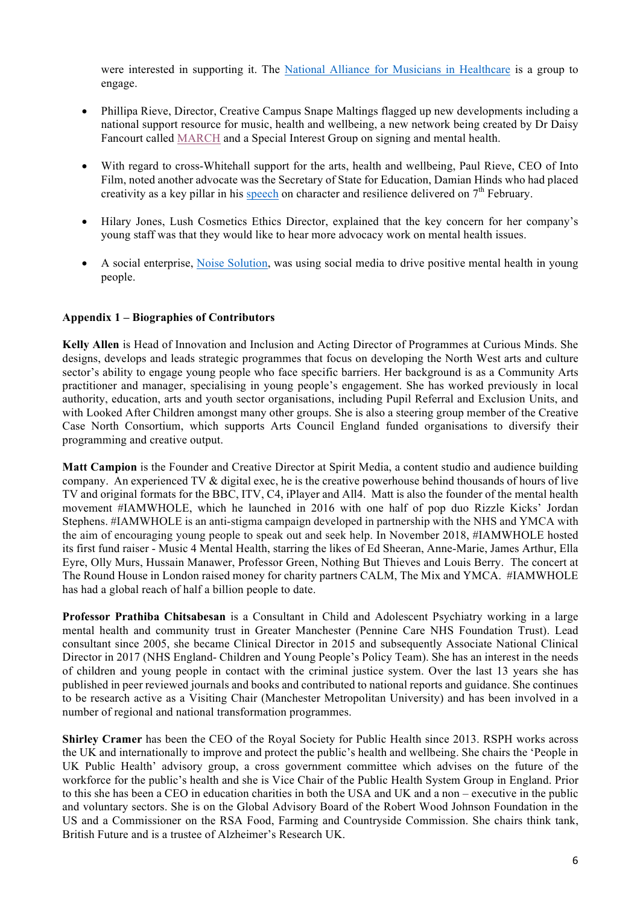were interested in supporting it. The National Alliance for Musicians in Healthcare is a group to engage.

- Phillipa Rieve, Director, Creative Campus Snape Maltings flagged up new developments including a national support resource for music, health and wellbeing, a new network being created by Dr Daisy Fancourt called MARCH and a Special Interest Group on signing and mental health.
- With regard to cross-Whitehall support for the arts, health and wellbeing, Paul Rieve, CEO of Into Film, noted another advocate was the Secretary of State for Education, Damian Hinds who had placed creativity as a key pillar in his speech on character and resilience delivered on  $7<sup>th</sup>$  February.
- Hilary Jones, Lush Cosmetics Ethics Director, explained that the key concern for her company's young staff was that they would like to hear more advocacy work on mental health issues.
- A social enterprise, Noise Solution, was using social media to drive positive mental health in young people.

## **Appendix 1 – Biographies of Contributors**

**Kelly Allen** is Head of Innovation and Inclusion and Acting Director of Programmes at Curious Minds. She designs, develops and leads strategic programmes that focus on developing the North West arts and culture sector's ability to engage young people who face specific barriers. Her background is as a Community Arts practitioner and manager, specialising in young people's engagement. She has worked previously in local authority, education, arts and youth sector organisations, including Pupil Referral and Exclusion Units, and with Looked After Children amongst many other groups. She is also a steering group member of the Creative Case North Consortium, which supports Arts Council England funded organisations to diversify their programming and creative output.

**Matt Campion** is the Founder and Creative Director at Spirit Media, a content studio and audience building company. An experienced TV & digital exec, he is the creative powerhouse behind thousands of hours of live TV and original formats for the BBC, ITV, C4, iPlayer and All4. Matt is also the founder of the mental health movement #IAMWHOLE, which he launched in 2016 with one half of pop duo Rizzle Kicks' Jordan Stephens. #IAMWHOLE is an anti-stigma campaign developed in partnership with the NHS and YMCA with the aim of encouraging young people to speak out and seek help. In November 2018, #IAMWHOLE hosted its first fund raiser - Music 4 Mental Health, starring the likes of Ed Sheeran, Anne-Marie, James Arthur, Ella Eyre, Olly Murs, Hussain Manawer, Professor Green, Nothing But Thieves and Louis Berry. The concert at The Round House in London raised money for charity partners CALM, The Mix and YMCA. #IAMWHOLE has had a global reach of half a billion people to date.

**Professor Prathiba Chitsabesan** is a Consultant in Child and Adolescent Psychiatry working in a large mental health and community trust in Greater Manchester (Pennine Care NHS Foundation Trust). Lead consultant since 2005, she became Clinical Director in 2015 and subsequently Associate National Clinical Director in 2017 (NHS England- Children and Young People's Policy Team). She has an interest in the needs of children and young people in contact with the criminal justice system. Over the last 13 years she has published in peer reviewed journals and books and contributed to national reports and guidance. She continues to be research active as a Visiting Chair (Manchester Metropolitan University) and has been involved in a number of regional and national transformation programmes.

**Shirley Cramer** has been the CEO of the Royal Society for Public Health since 2013. RSPH works across the UK and internationally to improve and protect the public's health and wellbeing. She chairs the 'People in UK Public Health' advisory group, a cross government committee which advises on the future of the workforce for the public's health and she is Vice Chair of the Public Health System Group in England. Prior to this she has been a CEO in education charities in both the USA and UK and a non – executive in the public and voluntary sectors. She is on the Global Advisory Board of the Robert Wood Johnson Foundation in the US and a Commissioner on the RSA Food, Farming and Countryside Commission. She chairs think tank, British Future and is a trustee of Alzheimer's Research UK.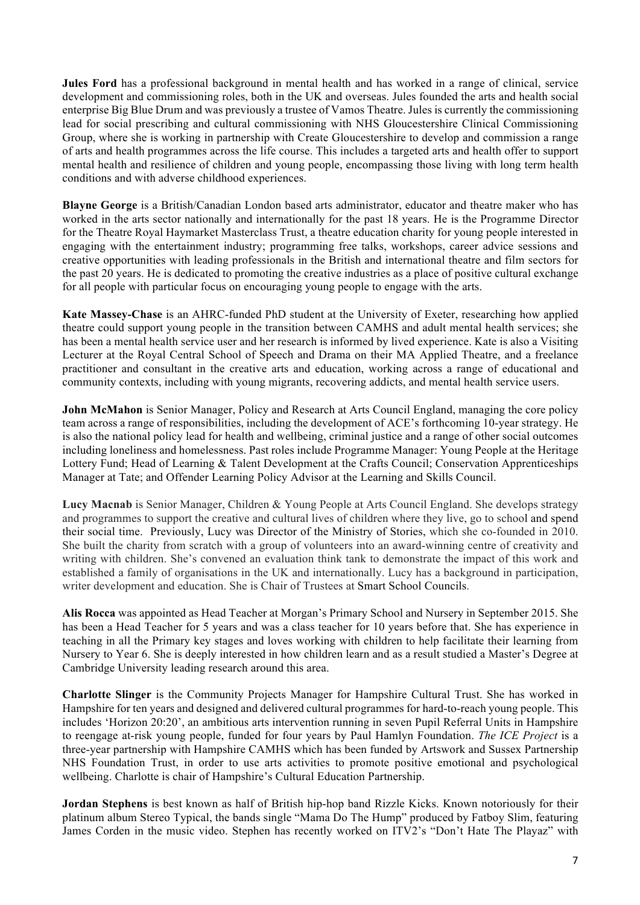**Jules Ford** has a professional background in mental health and has worked in a range of clinical, service development and commissioning roles, both in the UK and overseas. Jules founded the arts and health social enterprise Big Blue Drum and was previously a trustee of Vamos Theatre. Jules is currently the commissioning lead for social prescribing and cultural commissioning with NHS Gloucestershire Clinical Commissioning Group, where she is working in partnership with Create Gloucestershire to develop and commission a range of arts and health programmes across the life course. This includes a targeted arts and health offer to support mental health and resilience of children and young people, encompassing those living with long term health conditions and with adverse childhood experiences.

**Blayne George** is a British/Canadian London based arts administrator, educator and theatre maker who has worked in the arts sector nationally and internationally for the past 18 years. He is the Programme Director for the Theatre Royal Haymarket Masterclass Trust, a theatre education charity for young people interested in engaging with the entertainment industry; programming free talks, workshops, career advice sessions and creative opportunities with leading professionals in the British and international theatre and film sectors for the past 20 years. He is dedicated to promoting the creative industries as a place of positive cultural exchange for all people with particular focus on encouraging young people to engage with the arts.

**Kate Massey-Chase** is an AHRC-funded PhD student at the University of Exeter, researching how applied theatre could support young people in the transition between CAMHS and adult mental health services; she has been a mental health service user and her research is informed by lived experience. Kate is also a Visiting Lecturer at the Royal Central School of Speech and Drama on their MA Applied Theatre, and a freelance practitioner and consultant in the creative arts and education, working across a range of educational and community contexts, including with young migrants, recovering addicts, and mental health service users.

**John McMahon** is Senior Manager, Policy and Research at Arts Council England, managing the core policy team across a range of responsibilities, including the development of ACE's forthcoming 10-year strategy. He is also the national policy lead for health and wellbeing, criminal justice and a range of other social outcomes including loneliness and homelessness. Past roles include Programme Manager: Young People at the Heritage Lottery Fund; Head of Learning & Talent Development at the Crafts Council; Conservation Apprenticeships Manager at Tate; and Offender Learning Policy Advisor at the Learning and Skills Council.

**Lucy Macnab** is Senior Manager, Children & Young People at Arts Council England. She develops strategy and programmes to support the creative and cultural lives of children where they live, go to school and spend their social time. Previously, Lucy was Director of the Ministry of Stories, which she co-founded in 2010. She built the charity from scratch with a group of volunteers into an award-winning centre of creativity and writing with children. She's convened an evaluation think tank to demonstrate the impact of this work and established a family of organisations in the UK and internationally. Lucy has a background in participation, writer development and education. She is Chair of Trustees at Smart School Councils.

**Alis Rocca** was appointed as Head Teacher at Morgan's Primary School and Nursery in September 2015. She has been a Head Teacher for 5 years and was a class teacher for 10 years before that. She has experience in teaching in all the Primary key stages and loves working with children to help facilitate their learning from Nursery to Year 6. She is deeply interested in how children learn and as a result studied a Master's Degree at Cambridge University leading research around this area.

**Charlotte Slinger** is the Community Projects Manager for Hampshire Cultural Trust. She has worked in Hampshire for ten years and designed and delivered cultural programmes for hard-to-reach young people. This includes 'Horizon 20:20', an ambitious arts intervention running in seven Pupil Referral Units in Hampshire to reengage at-risk young people, funded for four years by Paul Hamlyn Foundation. *The ICE Project* is a three-year partnership with Hampshire CAMHS which has been funded by Artswork and Sussex Partnership NHS Foundation Trust, in order to use arts activities to promote positive emotional and psychological wellbeing. Charlotte is chair of Hampshire's Cultural Education Partnership.

**Jordan Stephens** is best known as half of British hip-hop band Rizzle Kicks. Known notoriously for their platinum album Stereo Typical, the bands single "Mama Do The Hump" produced by Fatboy Slim, featuring James Corden in the music video. Stephen has recently worked on ITV2's "Don't Hate The Playaz" with